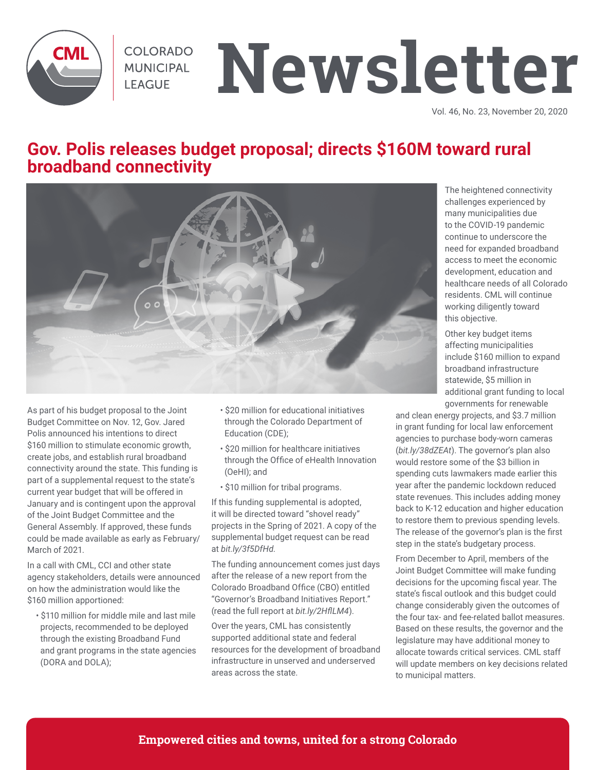

COLORADO MUNICIPAL **LEAGUE** 

# **Newsletter**

Vol. 46, No. 23, November 20, 2020

## **Gov. Polis releases budget proposal; directs \$160M toward rural broadband connectivity**



As part of his budget proposal to the Joint Budget Committee on Nov. 12, Gov. Jared Polis announced his intentions to direct \$160 million to stimulate economic growth, create jobs, and establish rural broadband connectivity around the state. This funding is part of a supplemental request to the state's current year budget that will be offered in January and is contingent upon the approval of the Joint Budget Committee and the General Assembly. If approved, these funds could be made available as early as February/ March of 2021.

In a call with CML, CCI and other state agency stakeholders, details were announced on how the administration would like the \$160 million apportioned:

• \$110 million for middle mile and last mile projects, recommended to be deployed through the existing Broadband Fund and grant programs in the state agencies (DORA and DOLA);

- \$20 million for educational initiatives through the Colorado Department of Education (CDE);
- \$20 million for healthcare initiatives through the Office of eHealth Innovation (OeHI); and
- \$10 million for tribal programs.

If this funding supplemental is adopted, it will be directed toward "shovel ready" projects in the Spring of 2021. A copy of the supplemental budget request can be read at *bit.ly/3f5DfHd.*

The funding announcement comes just days after the release of a new report from the Colorado Broadband Office (CBO) entitled "Governor's Broadband Initiatives Report." (read the full report at *bit.ly/2HflLM4*).

Over the years, CML has consistently supported additional state and federal resources for the development of broadband infrastructure in unserved and underserved areas across the state.

The heightened connectivity challenges experienced by many municipalities due to the COVID-19 pandemic continue to underscore the need for expanded broadband access to meet the economic development, education and healthcare needs of all Colorado residents. CML will continue working diligently toward this objective.

Other key budget items affecting municipalities include \$160 million to expand broadband infrastructure statewide, \$5 million in additional grant funding to local governments for renewable

and clean energy projects, and \$3.7 million in grant funding for local law enforcement agencies to purchase body-worn cameras (*bit.ly/38dZEAt*). The governor's plan also would restore some of the \$3 billion in spending cuts lawmakers made earlier this year after the pandemic lockdown reduced state revenues. This includes adding money back to K-12 education and higher education to restore them to previous spending levels. The release of the governor's plan is the first step in the state's budgetary process.

From December to April, members of the Joint Budget Committee will make funding decisions for the upcoming fiscal year. The state's fiscal outlook and this budget could change considerably given the outcomes of the four tax- and fee-related ballot measures. Based on these results, the governor and the legislature may have additional money to allocate towards critical services. CML staff will update members on key decisions related to municipal matters.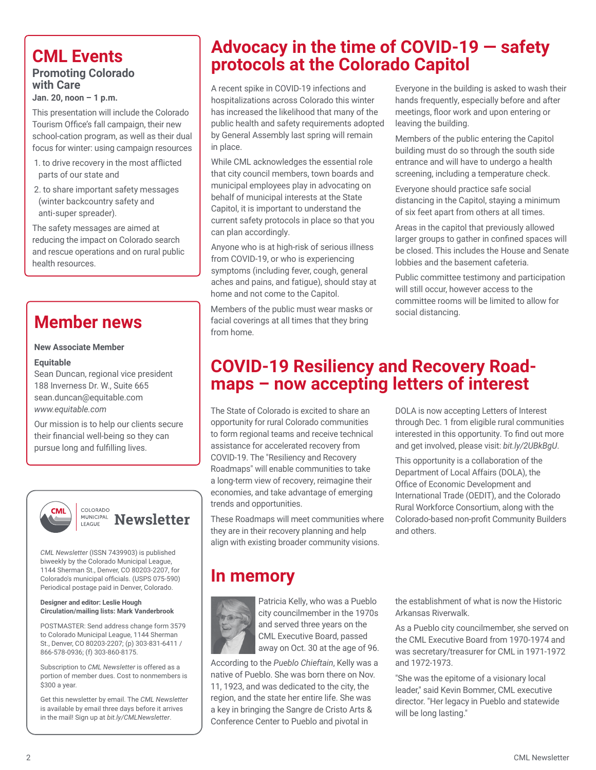# **Promoting Colorado**

# **with Care**

**Jan. 20, noon – 1 p.m.**

This presentation will include the Colorado Tourism Office's fall campaign, their new school-cation program, as well as their dual focus for winter: using campaign resources

- 1. to drive recovery in the most afflicted parts of our state and
- 2. to share important safety messages (winter backcountry safety and anti-super spreader).

The safety messages are aimed at reducing the impact on Colorado search and rescue operations and on rural public health resources.

# **Member news**

#### **New Associate Member**

#### **Equitable**

Sean Duncan, regional vice president 188 Inverness Dr. W., Suite 665 sean.duncan@equitable.com *www.equitable.com*

Our mission is to help our clients secure their financial well-being so they can pursue long and fulfilling lives.



*CML Newsletter* (ISSN 7439903) is published biweekly by the Colorado Municipal League, 1144 Sherman St., Denver, CO 80203-2207, for Colorado's municipal officials. (USPS 075-590) Periodical postage paid in Denver, Colorado.

#### **Designer and editor: Leslie Hough Circulation/mailing lists: Mark Vanderbrook**

POSTMASTER: Send address change form 3579 to Colorado Municipal League, 1144 Sherman St., Denver, CO 80203-2207; (p) 303-831-6411 / 866-578-0936; (f) 303-860-8175.

Subscription to *CML Newsletter* is offered as a portion of member dues. Cost to nonmembers is \$300 a year.

Get this newsletter by email. The *CML Newsletter*  is available by email three days before it arrives in the mail! Sign up at *bit.ly/CMLNewsletter*.

# **Advocacy in the time of COVID-19 — safety protocols at the Colorado Capitol**<br>**Promoting Colorado**

A recent spike in COVID-19 infections and hospitalizations across Colorado this winter has increased the likelihood that many of the public health and safety requirements adopted by General Assembly last spring will remain in place.

While CML acknowledges the essential role that city council members, town boards and municipal employees play in advocating on behalf of municipal interests at the State Capitol, it is important to understand the current safety protocols in place so that you can plan accordingly.

Anyone who is at high-risk of serious illness from COVID-19, or who is experiencing symptoms (including fever, cough, general aches and pains, and fatigue), should stay at home and not come to the Capitol.

Members of the public must wear masks or facial coverings at all times that they bring from home.

Everyone in the building is asked to wash their hands frequently, especially before and after meetings, floor work and upon entering or leaving the building.

Members of the public entering the Capitol building must do so through the south side entrance and will have to undergo a health screening, including a temperature check.

Everyone should practice safe social distancing in the Capitol, staying a minimum of six feet apart from others at all times.

Areas in the capitol that previously allowed larger groups to gather in confined spaces will be closed. This includes the House and Senate lobbies and the basement cafeteria.

Public committee testimony and participation will still occur, however access to the committee rooms will be limited to allow for social distancing.

# **COVID-19 Resiliency and Recovery Road- maps – now accepting letters of interest**

The State of Colorado is excited to share an opportunity for rural Colorado communities to form regional teams and receive technical assistance for accelerated recovery from COVID-19. The "Resiliency and Recovery Roadmaps" will enable communities to take a long-term view of recovery, reimagine their economies, and take advantage of emerging trends and opportunities.

These Roadmaps will meet communities where they are in their recovery planning and help align with existing broader community visions.

DOLA is now accepting Letters of Interest through Dec. 1 from eligible rural communities interested in this opportunity. To find out more and get involved, please visit: *bit.ly/2UBkBgU*.

This opportunity is a collaboration of the Department of Local Affairs (DOLA), the Office of Economic Development and International Trade (OEDIT), and the Colorado Rural Workforce Consortium, along with the Colorado-based non-profit Community Builders and others.

# **In memory**



Patricia Kelly, who was a Pueblo city councilmember in the 1970s and served three years on the CML Executive Board, passed away on Oct. 30 at the age of 96.

According to the *Pueblo Chieftain*, Kelly was a native of Pueblo. She was born there on Nov. 11, 1923, and was dedicated to the city, the region, and the state her entire life. She was a key in bringing the Sangre de Cristo Arts & Conference Center to Pueblo and pivotal in

the establishment of what is now the Historic Arkansas Riverwalk.

As a Pueblo city councilmember, she served on the CML Executive Board from 1970-1974 and was secretary/treasurer for CML in 1971-1972 and 1972-1973.

"She was the epitome of a visionary local leader," said Kevin Bommer, CML executive director. "Her legacy in Pueblo and statewide will be long lasting."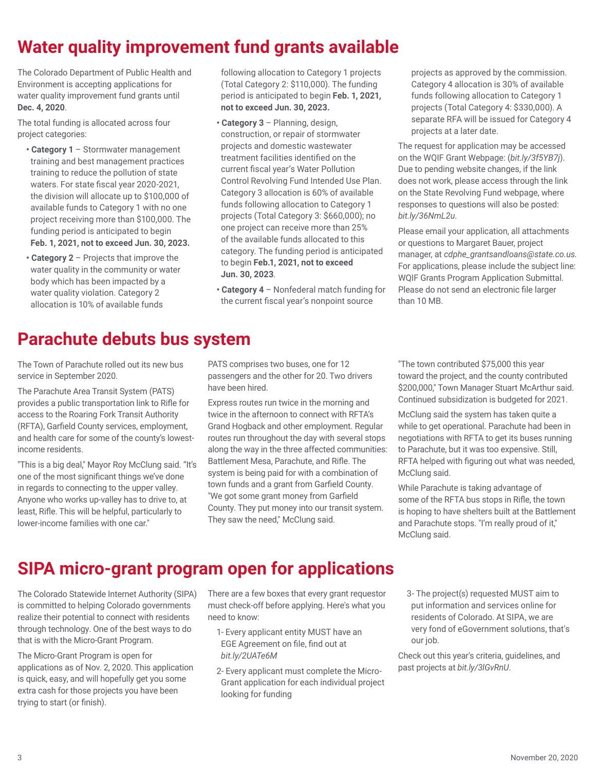# **Water quality improvement fund grants available**

The Colorado Department of Public Health and Environment is accepting applications for water quality improvement fund grants until **Dec. 4, 2020**.

The total funding is allocated across four project categories:

- **Category 1** Stormwater management training and best management practices training to reduce the pollution of state waters. For state fiscal year 2020-2021, the division will allocate up to \$100,000 of available funds to Category 1 with no one project receiving more than \$100,000. The funding period is anticipated to begin **Feb. 1, 2021, not to exceed Jun. 30, 2023.**
- **Category 2** Projects that improve the water quality in the community or water body which has been impacted by a water quality violation. Category 2 allocation is 10% of available funds

following allocation to Category 1 projects (Total Category 2: \$110,000). The funding period is anticipated to begin **Feb. 1, 2021, not to exceed Jun. 30, 2023.**

- **Category 3**  Planning, design, construction, or repair of stormwater projects and domestic wastewater treatment facilities identified on the current fiscal year's Water Pollution Control Revolving Fund Intended Use Plan. Category 3 allocation is 60% of available funds following allocation to Category 1 projects (Total Category 3: \$660,000); no one project can receive more than 25% of the available funds allocated to this category. The funding period is anticipated to begin **Feb.1, 2021, not to exceed Jun. 30, 2023**.
- **Category 4**  Nonfederal match funding for the current fiscal year's nonpoint source

projects as approved by the commission. Category 4 allocation is 30% of available funds following allocation to Category 1 projects (Total Category 4: \$330,000). A separate RFA will be issued for Category 4 projects at a later date.

The request for application may be accessed on the WQIF Grant Webpage: (*bit.ly/3f5YB7j*). Due to pending website changes, if the link does not work, please access through the link on the State Revolving Fund webpage, where responses to questions will also be posted: *bit.ly/36NmL2u*.

Please email your application, all attachments or questions to Margaret Bauer, project manager, at *cdphe\_grantsandloans@state.co.us.*  For applications, please include the subject line: WQIF Grants Program Application Submittal. Please do not send an electronic file larger than 10 MB.

# **Parachute debuts bus system**

The Town of Parachute rolled out its new bus service in September 2020.

The Parachute Area Transit System (PATS) provides a public transportation link to Rifle for access to the Roaring Fork Transit Authority (RFTA), Garfield County services, employment, and health care for some of the county's lowestincome residents.

"This is a big deal," Mayor Roy McClung said. "It's one of the most significant things we've done in regards to connecting to the upper valley. Anyone who works up-valley has to drive to, at least, Rifle. This will be helpful, particularly to lower-income families with one car."

PATS comprises two buses, one for 12 passengers and the other for 20. Two drivers have been hired.

Express routes run twice in the morning and twice in the afternoon to connect with RFTA's Grand Hogback and other employment. Regular routes run throughout the day with several stops along the way in the three affected communities: Battlement Mesa, Parachute, and Rifle. The system is being paid for with a combination of town funds and a grant from Garfield County. "We got some grant money from Garfield County. They put money into our transit system. They saw the need," McClung said.

"The town contributed \$75,000 this year toward the project, and the county contributed \$200,000," Town Manager Stuart McArthur said. Continued subsidization is budgeted for 2021.

McClung said the system has taken quite a while to get operational. Parachute had been in negotiations with RFTA to get its buses running to Parachute, but it was too expensive. Still, RFTA helped with figuring out what was needed, McClung said.

While Parachute is taking advantage of some of the RFTA bus stops in Rifle, the town is hoping to have shelters built at the Battlement and Parachute stops. "I'm really proud of it," McClung said.

# **SIPA micro-grant program open for applications**

The Colorado Statewide Internet Authority (SIPA) is committed to helping Colorado governments realize their potential to connect with residents through technology. One of the best ways to do that is with the Micro-Grant Program.

The Micro-Grant Program is open for applications as of Nov. 2, 2020. This application is quick, easy, and will hopefully get you some extra cash for those projects you have been trying to start (or finish).

There are a few boxes that every grant requestor must check-off before applying. Here's what you need to know:

- 1- Every applicant entity MUST have an EGE Agreement on file, find out at *bit.ly/2UATe6M*
- 2- Every applicant must complete the Micro-Grant application for each individual project looking for funding
- 3- The project(s) requested MUST aim to put information and services online for residents of Colorado. At SIPA, we are very fond of eGovernment solutions, that's our job.

Check out this year's criteria, guidelines, and past projects at *bit.ly/3lGvRnU*.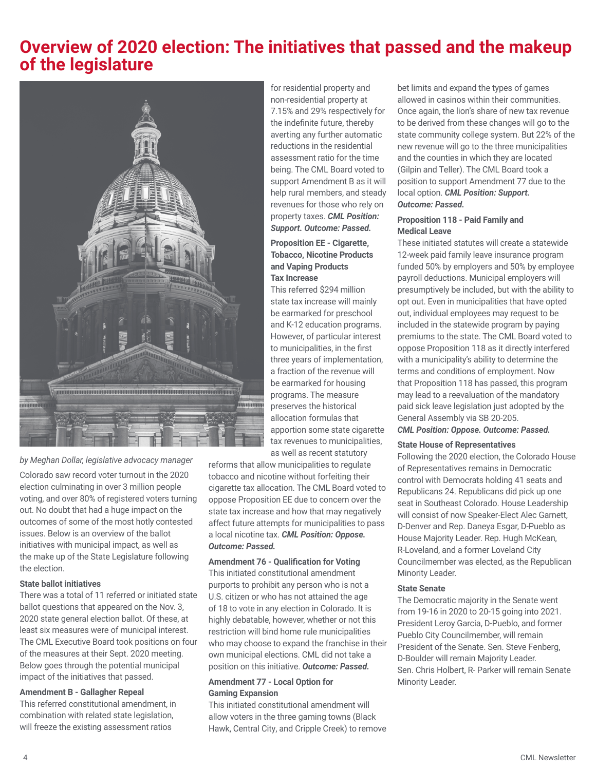## **Overview of 2020 election: The initiatives that passed and the makeup of the legislature**



*by Meghan Dollar, legislative advocacy manager*

Colorado saw record voter turnout in the 2020 election culminating in over 3 million people voting, and over 80% of registered voters turning out. No doubt that had a huge impact on the outcomes of some of the most hotly contested issues. Below is an overview of the ballot initiatives with municipal impact, as well as the make up of the State Legislature following the election.

#### **State ballot initiatives**

There was a total of 11 referred or initiated state ballot questions that appeared on the Nov. 3, 2020 state general election ballot. Of these, at least six measures were of municipal interest. The CML Executive Board took positions on four of the measures at their Sept. 2020 meeting. Below goes through the potential municipal impact of the initiatives that passed.

#### **Amendment B - Gallagher Repeal**

This referred constitutional amendment, in combination with related state legislation, will freeze the existing assessment ratios

for residential property and non-residential property at 7.15% and 29% respectively for the indefinite future, thereby averting any further automatic reductions in the residential assessment ratio for the time being. The CML Board voted to support Amendment B as it will help rural members, and steady revenues for those who rely on property taxes. *CML Position: Support. Outcome: Passed.* 

#### **Proposition EE - Cigarette, Tobacco, Nicotine Products and Vaping Products Tax Increase**

This referred \$294 million state tax increase will mainly be earmarked for preschool and K-12 education programs. However, of particular interest to municipalities, in the first three years of implementation, a fraction of the revenue will be earmarked for housing programs. The measure preserves the historical allocation formulas that apportion some state cigarette tax revenues to municipalities, as well as recent statutory

reforms that allow municipalities to regulate tobacco and nicotine without forfeiting their cigarette tax allocation. The CML Board voted to oppose Proposition EE due to concern over the state tax increase and how that may negatively affect future attempts for municipalities to pass a local nicotine tax. *CML Position: Oppose. Outcome: Passed.*

#### **Amendment 76 - Qualification for Voting**

This initiated constitutional amendment purports to prohibit any person who is not a U.S. citizen or who has not attained the age of 18 to vote in any election in Colorado. It is highly debatable, however, whether or not this restriction will bind home rule municipalities who may choose to expand the franchise in their own municipal elections. CML did not take a position on this initiative. *Outcome: Passed.*

#### **Amendment 77 - Local Option for Gaming Expansion**

This initiated constitutional amendment will allow voters in the three gaming towns (Black Hawk, Central City, and Cripple Creek) to remove bet limits and expand the types of games allowed in casinos within their communities. Once again, the lion's share of new tax revenue to be derived from these changes will go to the state community college system. But 22% of the new revenue will go to the three municipalities and the counties in which they are located (Gilpin and Teller). The CML Board took a position to support Amendment 77 due to the local option. *CML Position: Support. Outcome: Passed.*

#### **Proposition 118 - Paid Family and Medical Leave**

These initiated statutes will create a statewide 12-week paid family leave insurance program funded 50% by employers and 50% by employee payroll deductions. Municipal employers will presumptively be included, but with the ability to opt out. Even in municipalities that have opted out, individual employees may request to be included in the statewide program by paying premiums to the state. The CML Board voted to oppose Proposition 118 as it directly interfered with a municipality's ability to determine the terms and conditions of employment. Now that Proposition 118 has passed, this program may lead to a reevaluation of the mandatory paid sick leave legislation just adopted by the General Assembly via SB 20-205.

#### *CML Position: Oppose. Outcome: Passed.*

#### **State House of Representatives**

Following the 2020 election, the Colorado House of Representatives remains in Democratic control with Democrats holding 41 seats and Republicans 24. Republicans did pick up one seat in Southeast Colorado. House Leadership will consist of now Speaker-Elect Alec Garnett, D-Denver and Rep. Daneya Esgar, D-Pueblo as House Majority Leader. Rep. Hugh McKean, R-Loveland, and a former Loveland City Councilmember was elected, as the Republican Minority Leader.

#### **State Senate**

The Democratic majority in the Senate went from 19-16 in 2020 to 20-15 going into 2021. President Leroy Garcia, D-Pueblo, and former Pueblo City Councilmember, will remain President of the Senate. Sen. Steve Fenberg, D-Boulder will remain Majority Leader. Sen. Chris Holbert, R- Parker will remain Senate Minority Leader.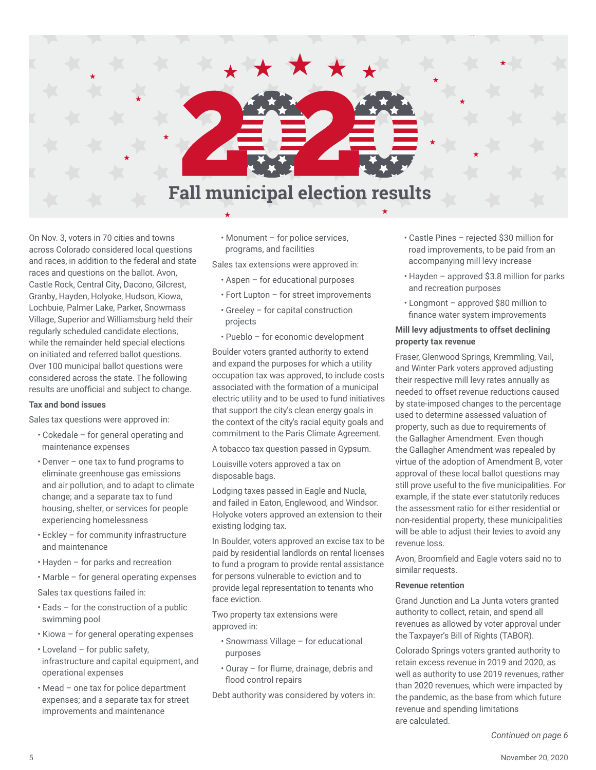

On Nov. 3, voters in 70 cities and towns across Colorado considered local questions and races, in addition to the federal and state races and questions on the ballot. Avon, Castle Rock, Central City, Dacono, Gilcrest, Granby, Hayden, Holyoke, Hudson, Kiowa, Lochbuie, Palmer Lake, Parker, Snowmass Village, Superior and Williamsburg held their regularly scheduled candidate elections, while the remainder held special elections on initiated and referred ballot questions. Over 100 municipal ballot questions were considered across the state. The following results are unofficial and subject to change.

#### **Tax and bond issues**

Sales tax questions were approved in:

- Cokedale for general operating and maintenance expenses
- Denver one tax to fund programs to eliminate greenhouse gas emissions and air pollution, and to adapt to climate change; and a separate tax to fund housing, shelter, or services for people experiencing homelessness
- Eckley for community infrastructure and maintenance
- Hayden for parks and recreation
- Marble for general operating expenses
- Sales tax questions failed in:
- Eads for the construction of a public swimming pool
- Kiowa for general operating expenses
- Loveland for public safety, infrastructure and capital equipment, and operational expenses
- Mead one tax for police department expenses; and a separate tax for street improvements and maintenance

• Monument – for police services, programs, and facilities

Sales tax extensions were approved in:

- Aspen for educational purposes
- Fort Lupton for street improvements
- Greeley for capital construction projects
- Pueblo for economic development

Boulder voters granted authority to extend and expand the purposes for which a utility occupation tax was approved, to include costs associated with the formation of a municipal electric utility and to be used to fund initiatives that support the city's clean energy goals in the context of the city's racial equity goals and commitment to the Paris Climate Agreement.

A tobacco tax question passed in Gypsum.

Louisville voters approved a tax on disposable bags.

Lodging taxes passed in Eagle and Nucla, and failed in Eaton, Englewood, and Windsor. Holyoke voters approved an extension to their existing lodging tax.

In Boulder, voters approved an excise tax to be paid by residential landlords on rental licenses to fund a program to provide rental assistance for persons vulnerable to eviction and to provide legal representation to tenants who face eviction.

Two property tax extensions were approved in:

- Snowmass Village for educational purposes
- Ouray for flume, drainage, debris and flood control repairs

Debt authority was considered by voters in:

- Castle Pines rejected \$30 million for road improvements, to be paid from an accompanying mill levy increase
- Hayden approved \$3.8 million for parks and recreation purposes
- Longmont approved \$80 million to finance water system improvements

#### **Mill levy adjustments to offset declining property tax revenue**

Fraser, Glenwood Springs, Kremmling, Vail, and Winter Park voters approved adjusting their respective mill levy rates annually as needed to offset revenue reductions caused by state-imposed changes to the percentage used to determine assessed valuation of property, such as due to requirements of the Gallagher Amendment. Even though the Gallagher Amendment was repealed by virtue of the adoption of Amendment B, voter approval of these local ballot questions may still prove useful to the five municipalities. For example, if the state ever statutorily reduces the assessment ratio for either residential or non-residential property, these municipalities will be able to adjust their levies to avoid any revenue loss.

Avon, Broomfield and Eagle voters said no to similar requests.

#### **Revenue retention**

Grand Junction and La Junta voters granted authority to collect, retain, and spend all revenues as allowed by voter approval under the Taxpayer's Bill of Rights (TABOR).

Colorado Springs voters granted authority to retain excess revenue in 2019 and 2020, as well as authority to use 2019 revenues, rather than 2020 revenues, which were impacted by the pandemic, as the base from which future revenue and spending limitations are calculated.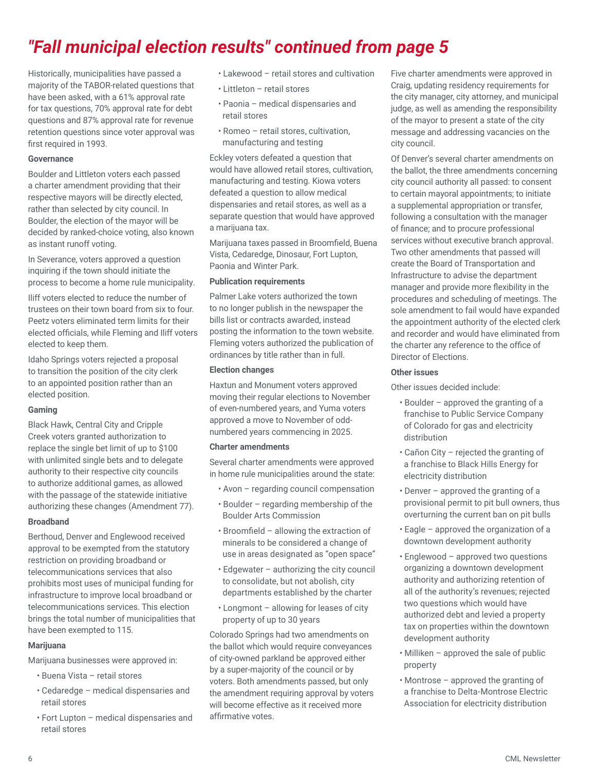# *"Fall municipal election results" continued from page 5*

Historically, municipalities have passed a majority of the TABOR-related questions that have been asked, with a 61% approval rate for tax questions, 70% approval rate for debt questions and 87% approval rate for revenue retention questions since voter approval was first required in 1993.

#### **Governance**

Boulder and Littleton voters each passed a charter amendment providing that their respective mayors will be directly elected, rather than selected by city council. In Boulder, the election of the mayor will be decided by ranked-choice voting, also known as instant runoff voting.

In Severance, voters approved a question inquiring if the town should initiate the process to become a home rule municipality.

Iliff voters elected to reduce the number of trustees on their town board from six to four. Peetz voters eliminated term limits for their elected officials, while Fleming and Iliff voters elected to keep them.

Idaho Springs voters rejected a proposal to transition the position of the city clerk to an appointed position rather than an elected position.

#### **Gaming**

Black Hawk, Central City and Cripple Creek voters granted authorization to replace the single bet limit of up to \$100 with unlimited single bets and to delegate authority to their respective city councils to authorize additional games, as allowed with the passage of the statewide initiative authorizing these changes (Amendment 77).

#### **Broadband**

Berthoud, Denver and Englewood received approval to be exempted from the statutory restriction on providing broadband or telecommunications services that also prohibits most uses of municipal funding for infrastructure to improve local broadband or telecommunications services. This election brings the total number of municipalities that have been exempted to 115.

#### **Marijuana**

Marijuana businesses were approved in:

- Buena Vista retail stores
- Cedaredge medical dispensaries and retail stores
- Fort Lupton medical dispensaries and retail stores
- Lakewood retail stores and cultivation
- Littleton retail stores
- Paonia medical dispensaries and retail stores
- Romeo retail stores, cultivation, manufacturing and testing

Eckley voters defeated a question that would have allowed retail stores, cultivation, manufacturing and testing. Kiowa voters defeated a question to allow medical dispensaries and retail stores, as well as a separate question that would have approved a marijuana tax.

Marijuana taxes passed in Broomfield, Buena Vista, Cedaredge, Dinosaur, Fort Lupton, Paonia and Winter Park.

#### **Publication requirements**

Palmer Lake voters authorized the town to no longer publish in the newspaper the bills list or contracts awarded, instead posting the information to the town website. Fleming voters authorized the publication of ordinances by title rather than in full.

#### **Election changes**

Haxtun and Monument voters approved moving their regular elections to November of even-numbered years, and Yuma voters approved a move to November of oddnumbered years commencing in 2025.

#### **Charter amendments**

Several charter amendments were approved in home rule municipalities around the state:

- Avon regarding council compensation
- Boulder regarding membership of the Boulder Arts Commission
- Broomfield allowing the extraction of minerals to be considered a change of use in areas designated as "open space"
- Edgewater authorizing the city council to consolidate, but not abolish, city departments established by the charter
- Longmont allowing for leases of city property of up to 30 years

Colorado Springs had two amendments on the ballot which would require conveyances of city-owned parkland be approved either by a super-majority of the council or by voters. Both amendments passed, but only the amendment requiring approval by voters will become effective as it received more affirmative votes.

Five charter amendments were approved in Craig, updating residency requirements for the city manager, city attorney, and municipal judge, as well as amending the responsibility of the mayor to present a state of the city message and addressing vacancies on the city council.

Of Denver's several charter amendments on the ballot, the three amendments concerning city council authority all passed: to consent to certain mayoral appointments; to initiate a supplemental appropriation or transfer, following a consultation with the manager of finance; and to procure professional services without executive branch approval. Two other amendments that passed will create the Board of Transportation and Infrastructure to advise the department manager and provide more flexibility in the procedures and scheduling of meetings. The sole amendment to fail would have expanded the appointment authority of the elected clerk and recorder and would have eliminated from the charter any reference to the office of Director of Elections.

#### **Other issues**

Other issues decided include:

- Boulder approved the granting of a franchise to Public Service Company of Colorado for gas and electricity distribution
- Cañon City rejected the granting of a franchise to Black Hills Energy for electricity distribution
- Denver approved the granting of a provisional permit to pit bull owners, thus overturning the current ban on pit bulls
- Eagle approved the organization of a downtown development authority
- Englewood approved two questions organizing a downtown development authority and authorizing retention of all of the authority's revenues; rejected two questions which would have authorized debt and levied a property tax on properties within the downtown development authority
- Milliken approved the sale of public property
- Montrose approved the granting of a franchise to Delta-Montrose Electric Association for electricity distribution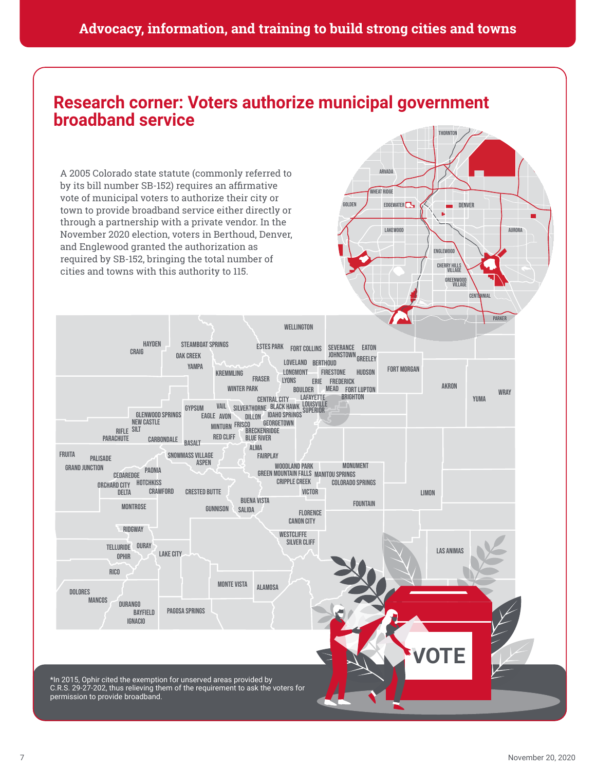### **Advocacy, information, and training to build strong cities and towns**